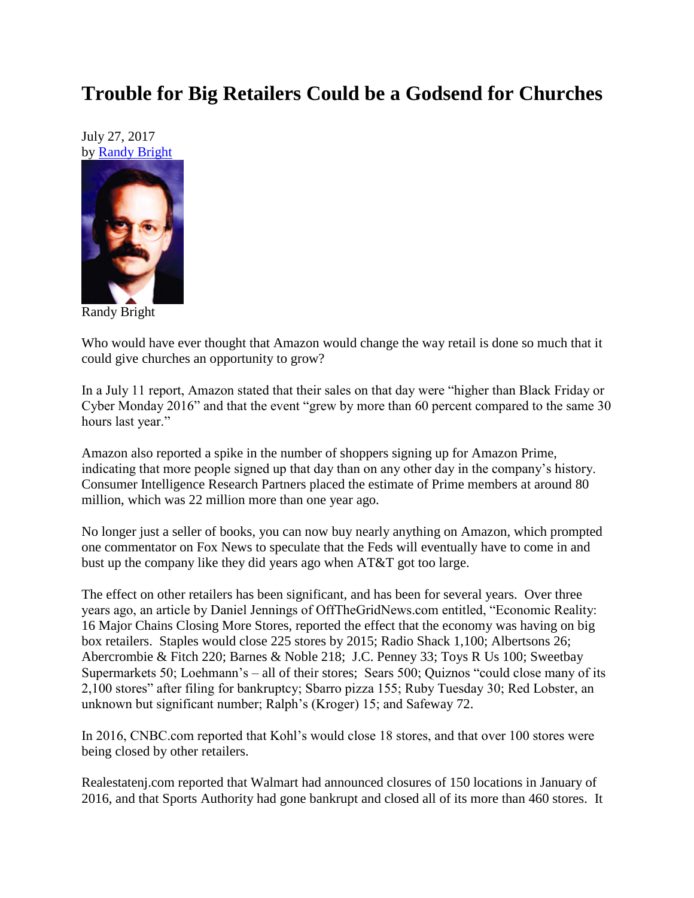## **Trouble for Big Retailers Could be a Godsend for Churches**

July 27, 2017 by [Randy Bright](http://tulsabeacon.com/writers/randy-bright/)



Randy Bright

Who would have ever thought that Amazon would change the way retail is done so much that it could give churches an opportunity to grow?

In a July 11 report, Amazon stated that their sales on that day were "higher than Black Friday or Cyber Monday 2016" and that the event "grew by more than 60 percent compared to the same 30 hours last year."

Amazon also reported a spike in the number of shoppers signing up for Amazon Prime, indicating that more people signed up that day than on any other day in the company's history. Consumer Intelligence Research Partners placed the estimate of Prime members at around 80 million, which was 22 million more than one year ago.

No longer just a seller of books, you can now buy nearly anything on Amazon, which prompted one commentator on Fox News to speculate that the Feds will eventually have to come in and bust up the company like they did years ago when AT&T got too large.

The effect on other retailers has been significant, and has been for several years. Over three years ago, an article by Daniel Jennings of OffTheGridNews.com entitled, "Economic Reality: 16 Major Chains Closing More Stores, reported the effect that the economy was having on big box retailers. Staples would close 225 stores by 2015; Radio Shack 1,100; Albertsons 26; Abercrombie & Fitch 220; Barnes & Noble 218; J.C. Penney 33; Toys R Us 100; Sweetbay Supermarkets 50; Loehmann's – all of their stores; Sears 500; Quiznos "could close many of its 2,100 stores" after filing for bankruptcy; Sbarro pizza 155; Ruby Tuesday 30; Red Lobster, an unknown but significant number; Ralph's (Kroger) 15; and Safeway 72.

In 2016, CNBC.com reported that Kohl's would close 18 stores, and that over 100 stores were being closed by other retailers.

Realestatenj.com reported that Walmart had announced closures of 150 locations in January of 2016, and that Sports Authority had gone bankrupt and closed all of its more than 460 stores. It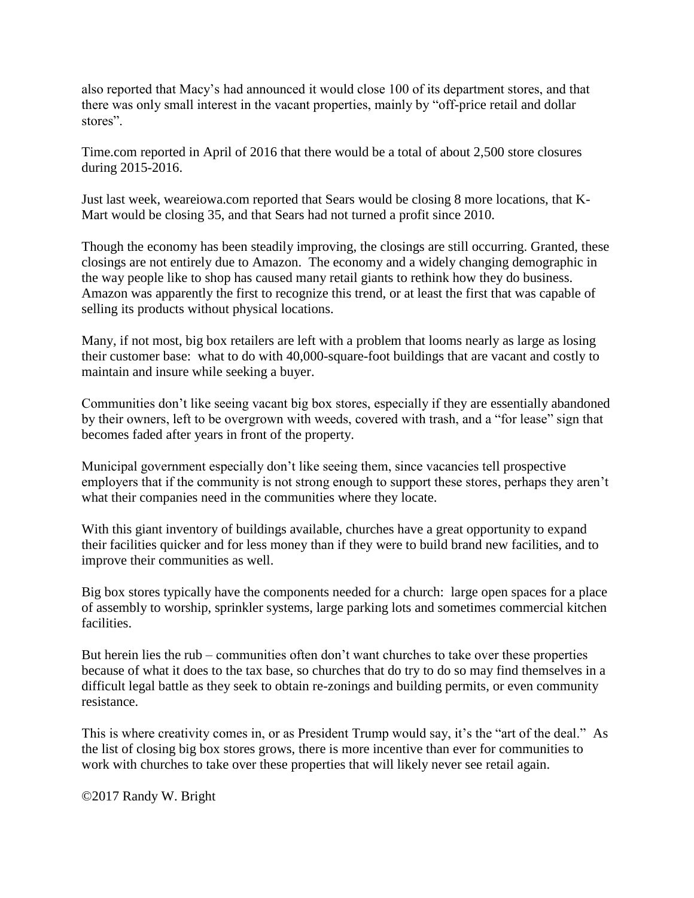also reported that Macy's had announced it would close 100 of its department stores, and that there was only small interest in the vacant properties, mainly by "off-price retail and dollar stores".

Time.com reported in April of 2016 that there would be a total of about 2,500 store closures during 2015-2016.

Just last week, weareiowa.com reported that Sears would be closing 8 more locations, that K-Mart would be closing 35, and that Sears had not turned a profit since 2010.

Though the economy has been steadily improving, the closings are still occurring. Granted, these closings are not entirely due to Amazon. The economy and a widely changing demographic in the way people like to shop has caused many retail giants to rethink how they do business. Amazon was apparently the first to recognize this trend, or at least the first that was capable of selling its products without physical locations.

Many, if not most, big box retailers are left with a problem that looms nearly as large as losing their customer base: what to do with 40,000-square-foot buildings that are vacant and costly to maintain and insure while seeking a buyer.

Communities don't like seeing vacant big box stores, especially if they are essentially abandoned by their owners, left to be overgrown with weeds, covered with trash, and a "for lease" sign that becomes faded after years in front of the property.

Municipal government especially don't like seeing them, since vacancies tell prospective employers that if the community is not strong enough to support these stores, perhaps they aren't what their companies need in the communities where they locate.

With this giant inventory of buildings available, churches have a great opportunity to expand their facilities quicker and for less money than if they were to build brand new facilities, and to improve their communities as well.

Big box stores typically have the components needed for a church: large open spaces for a place of assembly to worship, sprinkler systems, large parking lots and sometimes commercial kitchen facilities.

But herein lies the rub – communities often don't want churches to take over these properties because of what it does to the tax base, so churches that do try to do so may find themselves in a difficult legal battle as they seek to obtain re-zonings and building permits, or even community resistance.

This is where creativity comes in, or as President Trump would say, it's the "art of the deal." As the list of closing big box stores grows, there is more incentive than ever for communities to work with churches to take over these properties that will likely never see retail again.

©2017 Randy W. Bright